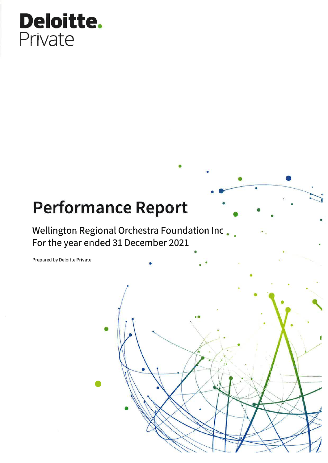# Deloitte. Private

# **Performance Report**

Wellington Regional Orchestra Foundation Inc. For the year ended 31 December 2021

Prepared by Deloitte Private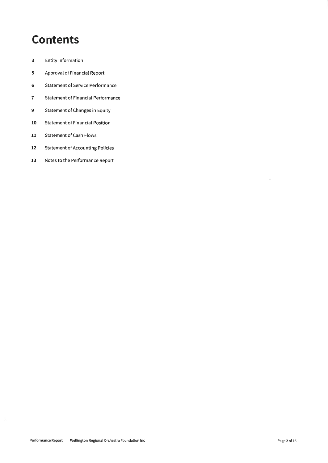## **Contents**

- $\overline{\mathbf{3}}$ **Entity Information**
- Approval of Financial Report  $5\phantom{a}$
- $\,$  6 **Statement of Service Performance**
- $\overline{7}$ **Statement of Financial Performance**
- $\overline{9}$ **Statement of Changes in Equity**
- 10 **Statement of Financial Position**
- Statement of Cash Flows  $11$
- **Statement of Accounting Policies**  $12$
- 13 Notes to the Performance Report

 $\bar{z}$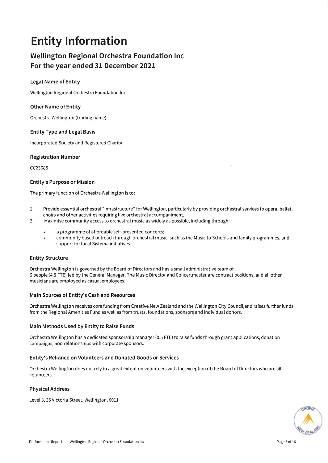## **Entity Information**

### Wellington Regional Orchestra Foundation Inc For the year ended 31 December 2021

### **Legal Name of Entity**

Wellington Regional Orchestra Foundation Inc

### **Other Name of Entity**

Orchestra Wellington (trading name)

### **Entity Type and Legal Basis**

Incorporated Society and Registered Charity

### **Registration Number**

CC23685

### **Entity's Purpose or Mission**

The primary function of Orchestra Wellington is to:

- Provide essential orchestral "infrastructure" for Wellington, particularly by providing orchestral services to opera, ballet, 1. choirs and other activities requiring live orchestral accompaniment.
- Maximise community access to orchestral music as widely as possible, including through: 2.
	- a programme of affordable self-presented concerts;
	- community based outreach through orchestral music, such as the Music to Schools and family programmes, and support for local Sistema initiatives.

### **Entity Structure**

Orchestra Wellington is governed by the Board of Directors and has a small administrative team of 6 people (4.5 FTE) led by the General Manager. The Music Director and Concertmaster are contract positions, and all other musicians are employed as casual employees.

### Main Sources of Entity's Cash and Resources

Orchestra Wellington receives core funding from Creative New Zealand and the Wellington City Council, and raises further funds from the Regional Amenities Fund as well as from trusts, foundations, sponsors and individual donors.

### Main Methods Used by Entity to Raise Funds

Orchestra Wellington has a dedicated sponsorship manager (0.5 FTE) to raise funds through grant applications, donation campaigns, and relationships with corporate sponsors.

### Entity's Reliance on Volunteers and Donated Goods or Services

Orchestra Wellington does not rely to a great extent on volunteers with the exception of the Board of Directors who are all volunteers.

### **Physical Address**

Level 3, 35 Victoria Street. Wellington, 6011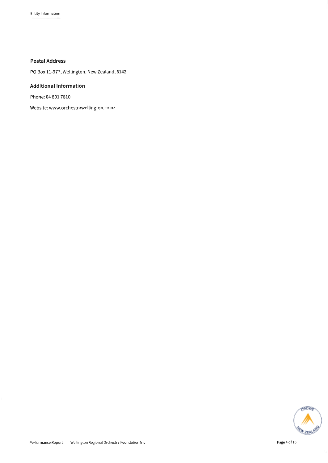### **Postal Address**

PO Box 11-977, Wellington, New Zealand, 6142

### **Additional Information**

Phone: 04 801 7810

Website: www.orchestrawellington.co.nz

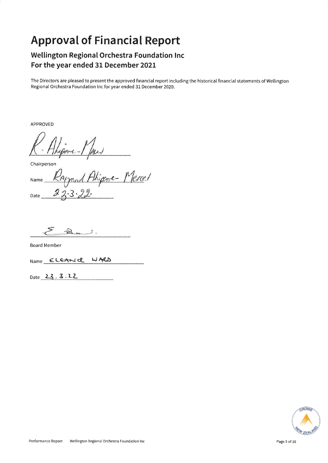## **Approval of Financial Report**

### Wellington Regional Orchestra Foundation Inc For the year ended 31 December 2021

The Directors are pleased to present the approved financial report including the historical financial statements of Wellington Regional Orchestra Foundation Inc for year ended 31 December 2020.

**APPROVED** 

Ane-

Chairperson

od Aligene-Mercel Name Date

 $\mathbb{R}$ . د

**Board Member** 

WARD Name ELEANCE

Date 23.3.22

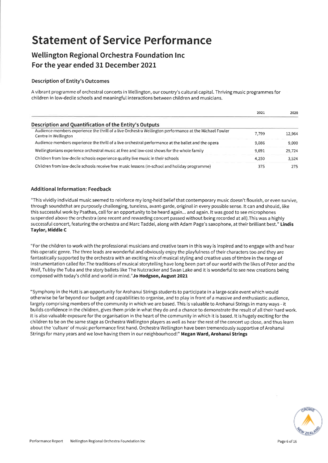## **Statement of Service Performance**

### Wellington Regional Orchestra Foundation Inc For the year ended 31 December 2021

### **Description of Entity's Outcomes**

A vibrant programme of orchestral concerts in Wellington, our country's cultural capital. Thriving music programmes for children in low-decile schools and meaningful interactions between children and musicians.

|                                                                                                                                 | 2021  | 2020   |
|---------------------------------------------------------------------------------------------------------------------------------|-------|--------|
| Description and Quantification of the Entity's Outputs                                                                          |       |        |
| Audience members experience the thrill of a live Orchestra Wellington performance at the Michael Fowler<br>Centre in Wellington | 7.799 | 12.964 |
| Audience members experience the thrill of a live orchestral performance at the ballet and the opera                             | 9.086 | 9.000  |
| Wellingtonians experience orchestral music at free and low-cost shows for the whole family                                      | 9.691 | 25.724 |
| Children from low-decile schools experience quality live music in their schools                                                 | 4.250 | 3.524  |
| Children from low-decile schools receive free music lessons (in-school and holiday programme)                                   | 375   | 275    |

### **Additional Information: Feedback**

"This vividly individual music seemed to reinforce my long-held belief that contemporary music doesn't flourish, or even survive, through soundsthat are purposely challenging, tuneless, avant-garde, original in every possible sense. It can and should, like this successful work by Psathas, call for an opportunity to be heard again... and again. It was good to see microphones suspended above the orchestra (one recent and rewarding concert passed without being recorded at all). This was a highly successful concert, featuring the orchestra and Marc Taddei, along with Adam Page's saxophone, at their brilliant best." Lindis Taylor, Middle C

"For the children to work with the professional musicians and creative team in this way is inspired and to engage with and hear this operatic genre. The three leads are wonderful and obviously enjoy the playfulness of their characters too and they are fantastically supported by the orchestra with an exciting mix of musical styling and creative uses of timbre in the range of instrumentation called for. The traditions of musical storytelling have long been part of our world with the likes of Peter and the Wolf, Tubby the Tuba and the story ballets like The Nutcracker and Swan Lake and it is wonderful to see new creations being composed with today's child and world in mind." Jo Hodgson, August 2021

"Symphony in the Hutt is an opportunity for Arohanui Strings students to participate in a large-scale event which would otherwise be far beyond our budget and capabilities to organise, and to play in front of a massive and enthusiastic audience, largely comprising members of the community in which we are based. This is valuable to Arohanui Strings in many ways - it builds confidence in the children, gives them pride in what they do and a chance to demonstrate the result of all their hard work. It is also valuable exposure for the organisation in the heart of the community in which it is based. It is hugely exciting for the children to be on the same stage as Orchestra Wellington players as well as hear the rest of the concert up close, and thus learn about the 'culture' of music performance first hand. Orchestra Wellington have been tremendously supportive of Arohanui Strings for many years and we love having them in our neighbourhood!" Megan Ward, Arohanui Strings

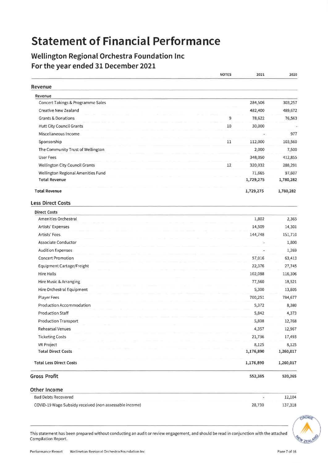## **Statement of Financial Performance**

### Wellington Regional Orchestra Foundation Inc For the year ended 31 December 2021

|                                    | <b>NOTES</b> | 2021      | 2020      |
|------------------------------------|--------------|-----------|-----------|
| Revenue                            |              |           |           |
| Revenue                            |              |           |           |
| Concert Takings & Programme Sales  |              | 284,506   | 303,257   |
| Creative New Zealand               |              | 482,400   | 489,672   |
| <b>Grants &amp; Donations</b>      | 9            | 78,622    | 76,563    |
| <b>Hutt City Council Grants</b>    | 10           | 30,000    |           |
| Miscellaneous Income               |              | ä,        | 977       |
| Sponsorship                        | 11           | 112,000   | 103,560   |
| The Community Trust of Wellington  |              | 2,000     | 7,500     |
| <b>User Fees</b>                   |              | 348,050   | 412,855   |
| Wellington City Council Grants     | 12           | 320,032   | 288,291   |
| Wellington Regional Amenities Fund |              | 71,665    | 97,607    |
| <b>Total Revenue</b>               |              | 1,729,275 | 1,780,282 |
| <b>Total Revenue</b>               |              | 1,729,275 | 1,780,282 |
| <b>Less Direct Costs</b>           |              |           |           |
| <b>Direct Costs</b>                |              |           |           |
| Amenities Orchestral               |              | 1,802     | 2,365     |
| Artists' Expenses                  |              | 14,509    | 14,301    |
| Artists' Fees                      |              | 144,748   | 151,710   |
| Associate Conductor                |              | ÷,        | 1,800     |
| <b>Audition Expenses</b>           |              |           | 1,269     |
| <b>Concert Promotion</b>           |              | 57,016    | 63,413    |
| Equipment Cartage/Freight          |              | 22,376    | 27,745    |
| Hire Halls                         |              | 102,088   | 116,306   |
| Hire Music & Arranging             |              | 77,560    | 18,521    |
| Hire Orchestral Equipment          |              | 5,300     | 13,805    |
| <b>Player Fees</b>                 |              | 700,251   | 784,677   |
| Production Accommodation           |              | 5,372     | 8,380     |
| <b>Production Staff</b>            |              | 5,842     | 4,373     |
| Production Transport               |              | 5,808     | 12,768    |
| Rehearsal Venues                   |              | 4,357     | 12,967    |
| <b>Ticketing Costs</b>             |              | 21,736    | 17,493    |
| VR Project                         |              | 8,125     | 8,125     |
| <b>Total Direct Costs</b>          |              | 1,176,890 | 1,260,017 |
| <b>Total Less Direct Costs</b>     |              | 1,176,890 | 1,260,017 |
| <b>Gross Profit</b>                |              | 552,385   | 520,265   |
| Other Income                       |              |           |           |
| <b>Bad Debts Recovered</b>         |              | Ξ         | 12,104    |



This statement has been prepared without conducting an audit or review engagement, and should be read in conjunction with the attached Compilation Report.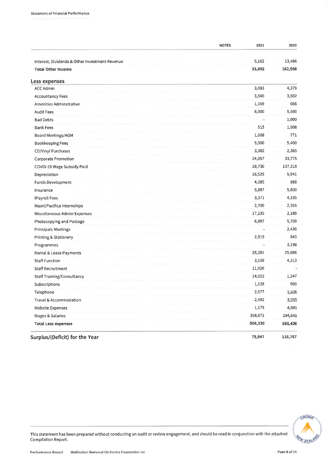| <b>NOTES</b>                                   | 2021    | 2020    |
|------------------------------------------------|---------|---------|
| Interest, Dividends & Other Investment Revenue | 5,162   | 13,486  |
| <b>Total Other Income</b>                      | 33,892  | 162,908 |
|                                                |         |         |
| Less expenses                                  |         |         |
| <b>ACC Admin</b>                               | 3,083   | 4,379   |
| <b>Accountancy Fees</b>                        | 3,540   | 3,502   |
| Amenities Adminstrative                        | 1,169   | 666     |
| <b>Audit Fees</b>                              | 6,000   | 5,500   |
| <b>Bad Debts</b>                               |         | 1,000   |
| <b>Bank Fees</b>                               | 515     | 1,008   |
| Board Meetings/AGM                             | 1,008   | 771     |
| <b>Bookkeeping Fees</b>                        | 5,500   | 5,400   |
| CD/Vinyl Purchases                             | 3,382   | 2,385   |
| <b>Corporate Promotion</b>                     | 24,057  | 33,775  |
| COVID-19 Wage Subsidy Paid                     | 28,730  | 137,318 |
| Depreciation                                   | 16,525  | 5,941   |
| <b>Funds Development</b>                       | 4,385   | 888     |
| Insurance                                      | 5,887   | 5,800   |
| <b>IPayroll Fees</b>                           | 3,371   | 4,335   |
| Maori/Pacifica Internships                     | 2,700   | 2,355   |
| Miscellaneous Admin Expenses                   | 17,235  | 2,189   |
| Photocopying and Postage                       | 6,887   | 5,709   |
| <b>Principals Meetings</b>                     |         | 2,436   |
| Printing & Stationery                          | 2,919   | 843     |
| Programmes                                     |         | 3,198   |
| Rental & Lease Payments                        | 26,281  | 25,886  |
| <b>Staff Function</b>                          | 3,159   | 4,313   |
| <b>Staff Recruitment</b>                       | 11,026  |         |
| <b>Staff Training/Consultancy</b>              | 14,023  | 1,347   |
| Subscriptions                                  | 1,128   | 960     |
| Telephone                                      | 2,077   | 1,626   |
| Travel & Accommodation                         | 2,492   | 3,555   |
| <b>Website Expenses</b>                        | 1,179   | 4,681   |
| Wages & Salaries                               | 308,072 | 294,641 |
| <b>Total Less expenses</b>                     | 506,330 | 566,406 |
| Surplus/(Deficit) for the Year                 | 79,947  | 116,767 |



This statement has been prepared without conducting an audit or review engagement, and should be read in conjunction with the attached Compilation Report.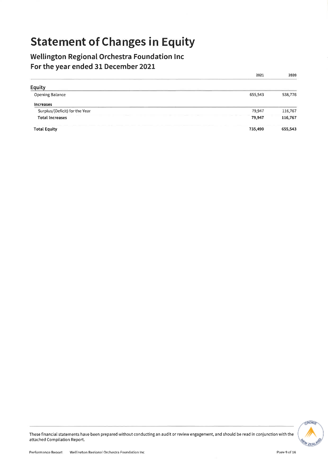## **Statement of Changes in Equity**

### Wellington Regional Orchestra Foundation Inc For the year ended 31 December 2021

|                                | 2021    | 2020    |
|--------------------------------|---------|---------|
| <b>Equity</b>                  |         |         |
| Opening Balance                | 655,543 | 538,776 |
| <b>Increases</b>               |         |         |
| Surplus/(Deficit) for the Year | 79,947  | 116,767 |
| <b>Total Increases</b>         | 79,947  | 116,767 |
| <b>Total Equity</b>            | 735,490 | 655,543 |

**GROVE AVZEN**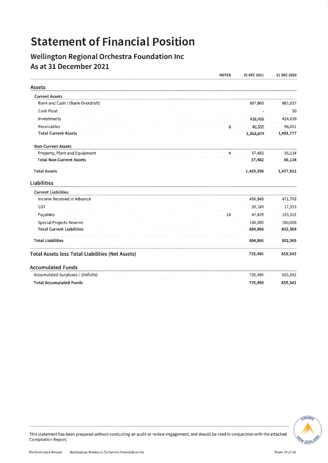## **Statement of Financial Position**

### Wellington Regional Orchestra Foundation Inc As at 31 December 2021

|                                                         | <b>NOTES</b>   | 31 DEC 2021 | 31 DEC 2020 |
|---------------------------------------------------------|----------------|-------------|-------------|
| <b>Assets</b>                                           |                |             |             |
| <b>Current Assets</b>                                   |                |             |             |
| Bank and Cash / (Bank Overdraft)                        |                | 887,860     | 881,037     |
| Cash Float                                              |                |             | 50          |
| Investments                                             |                | 428,459     | 424,639     |
| Receivables                                             | 6              | 46,555      | 96,051      |
| <b>Total Current Assets</b>                             |                | 1,362,874   | 1,401,777   |
| <b>Non-Current Assets</b>                               |                |             |             |
| Property, Plant and Equipment                           | $\overline{4}$ | 57,482      | 56,134      |
| <b>Total Non-Current Assets</b>                         |                | 57,482      | 56,134      |
| <b>Total Assets</b>                                     |                | 1,420,356   | 1,457,912   |
| <b>Liabilities</b>                                      |                |             |             |
| <b>Current Liabilities</b>                              |                |             |             |
| Income Received in Advance                              |                | 456,848     | 471,703     |
| <b>GST</b>                                              |                | 20,189      | 17,353      |
| Payables                                                | 18             | 47,829      | 153,312     |
| Special Projects Reserve                                |                | 160,000     | 160,000     |
| <b>Total Current Liabilities</b>                        |                | 684,866     | 802,369     |
| <b>Total Liabilities</b>                                |                | 684,866     | 802,369     |
| <b>Total Assets less Total Liabilities (Net Assets)</b> |                | 735,490     | 655,543     |
| <b>Accumulated Funds</b>                                |                |             |             |
| Accumulated Surpluses / (Deficits)                      |                | 735,490     | 655,543     |
| <b>Total Accumulated Funds</b>                          |                | 735,490     | 655,543     |



This statement has been prepared without conducting an audit or review engagement, and should be read in conjunction with the attached Compilation Report.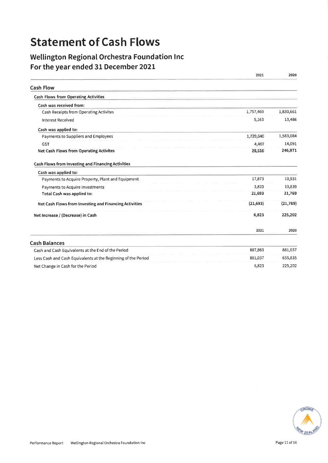## **Statement of Cash Flows**

### Wellington Regional Orchestra Foundation Inc For the year ended 31 December 2021

|                                                               | 2021      | 2020      |
|---------------------------------------------------------------|-----------|-----------|
| <b>Cash Flow</b>                                              |           |           |
| Cash Flows from Operating Activities                          |           |           |
| Cash was received from:                                       |           |           |
| Cash Receipts from Operating Activites                        | 1,757,460 | 1,830,661 |
| <b>Interest Received</b>                                      | 5,163     | 13,486    |
| Cash was applied to:                                          |           |           |
| Payments to Suppliers and Employees                           | 1,729,640 | 1,583,084 |
| <b>GST</b>                                                    | 4,467     | 14,091    |
| Net Cash Flows from Operating Activites                       | 28,516    | 246,971   |
| Cash Flows from Investing and Financing Activities            |           |           |
| Cash was applied to:                                          |           |           |
| Payments to Acquire Property, Plant and Equipment             | 17,873    | 10,931    |
| Payments to Acquire Investments                               | 3,820     | 10,839    |
| Total Cash was applied to:                                    | 21,693    | 21,769    |
| Net Cash Flows from Investing and Financing Activities        | (21, 693) | (21, 769) |
| Net Increase / (Decrease) in Cash                             | 6,823     | 225,202   |
|                                                               | 2021      | 2020      |
| <b>Cash Balances</b>                                          |           |           |
| Cash and Cash Equivalents at the End of the Period            | 887,860   | 881,037   |
| Less Cash and Cash Equivalents at the Beginning of the Period | 881,037   | 655,835   |
| Net Change in Cash for the Period                             | 6,823     | 225,202   |

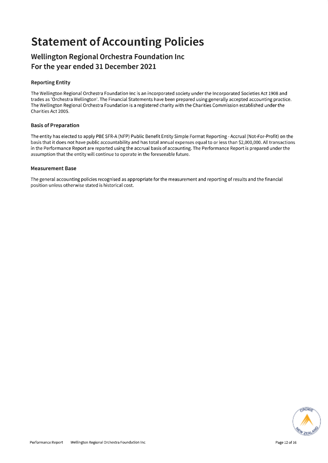## **Statement of Accounting Policies**

### Wellington Regional Orchestra Foundation Inc For the year ended 31 December 2021

### **Reporting Entity**

The Wellington Regional Orchestra Foundation Inc is an incorporated society under the Incorporated Societies Act 1908 and trades as 'Orchestra Wellington'. The Financial Statements have been prepared using generally accepted accounting practice. The Wellington Regional Orchestra Foundation is a registered charity with the Charities Commission established under the Charities Act 2005.

### **Basis of Preparation**

The entity has elected to apply PBE SFR-A (NFP) Public Benefit Entity Simple Format Reporting - Accrual (Not-For-Profit) on the basis that it does not have public accountability and has total annual expenses equal to or less than \$2,000,000. All transactions in the Performance Report are reported using the accrual basis of accounting. The Performance Report is prepared under the assumption that the entity will continue to operate in the foreseeable future.

### **Measurement Base**

The general accounting policies recognised as appropriate for the measurement and reporting of results and the financial position unless otherwise stated is historical cost.

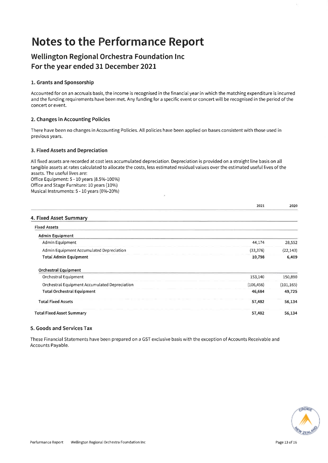## **Notes to the Performance Report**

### Wellington Regional Orchestra Foundation Inc For the year ended 31 December 2021

### 1. Grants and Sponsorship

Accounted for on an accruals basis, the income is recognised in the financial year in which the matching expenditure is incurred and the funding requirements have been met. Any funding for a specific event or concert will be recognised in the period of the concert or event.

### 2. Changes in Accounting Policies

There have been no changes in Accounting Policies. All policies have been applied on bases consistent with those used in previous years.

### 3. Fixed Assets and Depreciation

All fixed assets are recorded at cost less accumulated depreciation. Depreciation is provided on a straight line basis on all tangible assets at rates calculated to allocate the costs, less estimated residual values over the estimated useful lives of the assets. The useful lives are: Office Equipment: 5 - 10 years (8.5%-100%) Office and Stage Furniture: 10 years (10%) Musical Instruments: 5 - 10 years (0%-20%)

|  | 4. Fixed Asset Summary |  |
|--|------------------------|--|

| <b>Fixed Assets</b>                           |            |            |
|-----------------------------------------------|------------|------------|
| <b>Admin Equipment</b>                        |            |            |
| Admin Equipment                               | 44,174     | 28,552     |
| Admin Equipment Accumulated Depreciation      | (33, 376)  | (22, 143)  |
| <b>Total Admin Equipment</b>                  | 10,798     | 6,409      |
| <b>Orchestral Equipment</b>                   |            |            |
| Orchestral Equipment                          | 153,140    | 150,890    |
| Orchestral Equipment Accumulated Depreciation | (106, 456) | (101, 165) |
| <b>Total Orchestral Equipment</b>             | 46,684     | 49,725     |
| <b>Total Fixed Assets</b>                     | 57,482     | 56,134     |
| <b>Total Fixed Asset Summary</b>              | 57,482     | 56,134     |

### 5. Goods and Services Tax

These Financial Statements have been prepared on a GST exclusive basis with the exception of Accounts Receivable and Accounts Payable.



2021

2020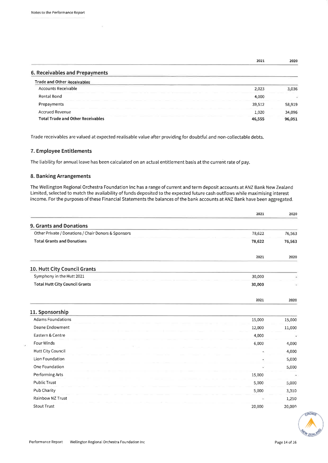6. Receivables and Prepayments

|                  | 2021 | 2020 |
|------------------|------|------|
| ______<br>______ |      |      |

| <b>Trade and Other Receivables</b>       |        |        |
|------------------------------------------|--------|--------|
| Accounts Receivable                      | 2,023  | 3.036  |
| Rental Bond                              | 4,000  |        |
| Prepayments                              | 39,512 | 58,919 |
| <b>Accrued Revenue</b>                   | 1,020  | 34,096 |
| <b>Total Trade and Other Receivables</b> | 46,555 | 96,051 |

Trade receivables are valued at expected realisable value after providing for doubtful and non-collectable debts.

### 7. Employee Entitlements

The liability for annual leave has been calculated on an actual entitlement basis at the current rate of pay.

### 8. Banking Arrangements

×.

The Wellington Regional Orchestra Foundation Inc has a range of current and term deposit accounts at ANZ Bank New Zealand Limited, selected to match the availability of funds deposited to the expected future cash outflows while maximising interest income. For the purposes of these Financial Statements the balances of the bank accounts at ANZ Bank have been aggregated.

|                                                     | 2021   | 2020   |
|-----------------------------------------------------|--------|--------|
| <b>9. Grants and Donations</b>                      |        |        |
| Other Private / Donations / Chair Donors & Sponsors | 78,622 | 76,563 |
| <b>Total Grants and Donations</b>                   | 78,622 | 76,563 |
|                                                     | 2021   | 2020   |
| 10. Hutt City Council Grants                        |        |        |
| Symphony in the Hutt 2021                           | 30,000 |        |
| <b>Total Hutt City Council Grants</b>               | 30,000 |        |
|                                                     | 2021   | 2020   |
| 11. Sponsorship                                     |        |        |
| <b>Adams Foundations</b>                            | 15,000 | 15,000 |
| Deane Endowment                                     | 12,000 | 11,000 |
| Eastern & Centre                                    | 4,000  |        |
| Four Winds                                          | 6,000  | 4,000  |
| <b>Hutt City Council</b>                            |        | 4,000  |
| Lion Foundation                                     |        | 5,000  |
| One Foundation                                      |        | 5,000  |
| Performing Arts                                     | 15,000 | ×      |
| <b>Public Trust</b>                                 | 5,000  | 5,000  |
| Pub Charity                                         | 5,000  | 3,310  |
| Rainbow NZ Trust                                    |        | 1,250  |
| <b>Stout Trust</b>                                  | 20,000 | 20,000 |

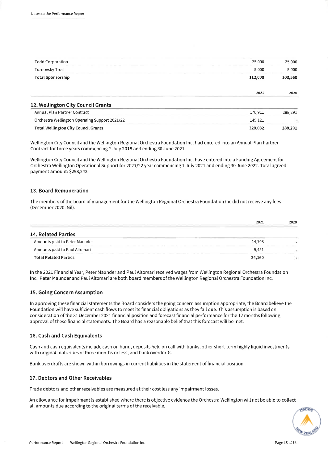| <b>Todd Corporation</b><br>25,000<br>Turnovsky Trust<br>5,000<br><b>Total Sponsorship</b><br>112,000<br>2021 | 12. Wellington City Council Grants |         |
|--------------------------------------------------------------------------------------------------------------|------------------------------------|---------|
|                                                                                                              |                                    | 2020    |
|                                                                                                              |                                    | 103,560 |
|                                                                                                              |                                    | 5,000   |
|                                                                                                              |                                    | 25,000  |

| Annual Plan Partner Contract                                                                                                                                                                     | 170.911 | 288,291 |
|--------------------------------------------------------------------------------------------------------------------------------------------------------------------------------------------------|---------|---------|
| Orchestra Wellington Operating Support 2021/22<br>Constitution of the property of the con-<br>_______<br>commercial contracts and contracts and<br>the property and the property of the property | 149.121 |         |
| <b>Total Wellington City Council Grants</b>                                                                                                                                                      | 320,032 | 288,291 |

Wellington City Council and the Wellington Regional Orchestra Foundation Inc. had entered into an Annual Plan Partner Contract for three years commencing 1 July 2018 and ending 30 June 2021.

Wellington City Council and the Wellington Regional Orchestra Foundation Inc. have entered into a Funding Agreement for Orchestra Wellington Operational Support for 2021/22 year commencing 1 July 2021 and ending 30 June 2022. Total agreed payment amount: \$298,242.

#### 13. Board Remuneration

The members of the board of management for the Wellington Regional Orchestra Foundation Inc did not receive any fees (December 2020: Nil).

|                                                                       | 2021   | 2020 |
|-----------------------------------------------------------------------|--------|------|
| 14. Related Parties                                                   |        |      |
| Amounts paid to Peter Maunder                                         | 14,708 |      |
| Amounts paid to Paul Altomari<br>the property and the property of the | 9,451  |      |
| <b>Total Related Parties</b>                                          | 24,160 |      |

In the 2021 Financial Year, Peter Maunder and Paul Altomari received wages from Wellington Regional Orchestra Foundation Inc. Peter Maunder and Paul Altomari are both board members of the Wellington Regional Orchestra Foundation Inc.

### 15. Going Concern Assumption

In approving these financial statements the Board considers the going concern assumption appropriate, the Board believe the Foundation will have sufficient cash flows to meet its financial obligations as they fall due. This assumption is based on consideration of the 31 December 2021 financial position and forecast financial performance for the 12 months following approval of these financial statements. The Board has a reasonable belief that this forecast will be met.

#### 16. Cash and Cash Equivalents

Cash and cash equivalents include cash on hand, deposits held on call with banks, other short-term highly liquid investments with original maturities of three months or less, and bank overdrafts.

Bank overdrafts are shown within borrowings in current liabilities in the statement of financial position.

#### 17. Debtors and Other Receivables

Trade debtors and other receivables are measured at their cost less any impairment losses.

An allowance for impairment is established where there is objective evidence the Orchestra Wellington will not be able to collect all amounts due according to the original terms of the receivable.

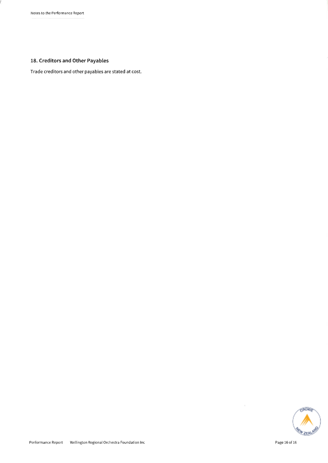l

### 18. Creditors and Other Payables

Trade creditors and other payables are stated at cost.



Performance Report Wellington Regional Orchestra Foundation Inc

 $\mathbf{V}$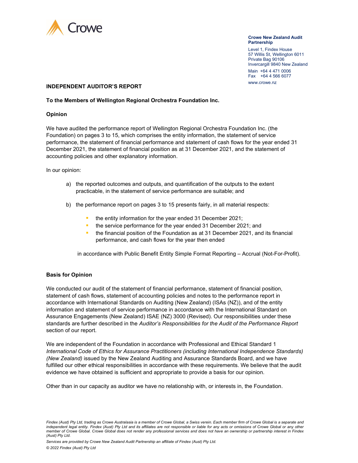

#### Crowe New Zealand Audit **Partnership**

Level 1, Findex House 57 Willis St, Wellington 6011 Private Bag 90106 Invercargill 9840 New Zealand

Main +64 4 471 0006 Fax +64 4 566 6077 WWW.crowe.nz

#### INDEPENDENT AUDITOR'S REPORT

#### To the Members of Wellington Regional Orchestra Foundation Inc.

#### **Opinion**

We have audited the performance report of Wellington Regional Orchestra Foundation Inc. (the Foundation) on pages 3 to 15, which comprises the entity information, the statement of service performance, the statement of financial performance and statement of cash flows for the year ended 31 December 2021, the statement of financial position as at 31 December 2021, and the statement of accounting policies and other explanatory information.

### In our opinion:

- a) the reported outcomes and outputs, and quantification of the outputs to the extent practicable, in the statement of service performance are suitable; and
- b) the performance report on pages 3 to 15 presents fairly, in all material respects:
	- the entity information for the year ended 31 December 2021;
	- the service performance for the year ended 31 December 2021; and
	- **the financial position of the Foundation as at 31 December 2021, and its financial** performance, and cash flows for the year then ended

in accordance with Public Benefit Entity Simple Format Reporting – Accrual (Not-For-Profit).

### Basis for Opinion

We conducted our audit of the statement of financial performance, statement of financial position, statement of cash flows, statement of accounting policies and notes to the performance report in accordance with International Standards on Auditing (New Zealand) (ISAs (NZ)), and of the entity information and statement of service performance in accordance with the International Standard on Assurance Engagements (New Zealand) ISAE (NZ) 3000 (Revised). Our responsibilities under these standards are further described in the Auditor's Responsibilities for the Audit of the Performance Report section of our report.

We are independent of the Foundation in accordance with Professional and Ethical Standard 1 International Code of Ethics for Assurance Practitioners (including International Independence Standards) (New Zealand) issued by the New Zealand Auditing and Assurance Standards Board, and we have fulfilled our other ethical responsibilities in accordance with these requirements. We believe that the audit evidence we have obtained is sufficient and appropriate to provide a basis for our opinion.

Other than in our capacity as auditor we have no relationship with, or interests in, the Foundation.

Findex (Aust) Pty Ltd, trading as Crowe Australasia is a member of Crowe Global, a Swiss verein. Each member firm of Crowe Global is a separate and independent legal entity. Findex (Aust) Pty Ltd and its affiliates are not responsible or liable for any acts or omissions of Crowe Global or any other member of Crowe Global. Crowe Global does not render any professional services and does not have an ownership or partnership interest in Findex (Aust) Pty Ltd.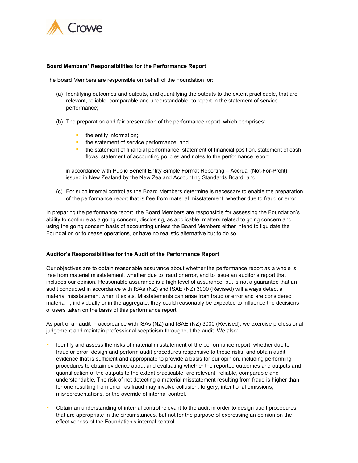

### Board Members' Responsibilities for the Performance Report

The Board Members are responsible on behalf of the Foundation for:

- (a) Identifying outcomes and outputs, and quantifying the outputs to the extent practicable, that are relevant, reliable, comparable and understandable, to report in the statement of service performance;
- (b) The preparation and fair presentation of the performance report, which comprises:
	- the entity information;
	- **the statement of service performance; and**
	- **the statement of financial performance, statement of financial position, statement of cash** flows, statement of accounting policies and notes to the performance report

in accordance with Public Benefit Entity Simple Format Reporting – Accrual (Not-For-Profit) issued in New Zealand by the New Zealand Accounting Standards Board; and

(c) For such internal control as the Board Members determine is necessary to enable the preparation of the performance report that is free from material misstatement, whether due to fraud or error.

In preparing the performance report, the Board Members are responsible for assessing the Foundation's ability to continue as a going concern, disclosing, as applicable, matters related to going concern and using the going concern basis of accounting unless the Board Members either intend to liquidate the Foundation or to cease operations, or have no realistic alternative but to do so.

#### Auditor's Responsibilities for the Audit of the Performance Report

Our objectives are to obtain reasonable assurance about whether the performance report as a whole is free from material misstatement, whether due to fraud or error, and to issue an auditor's report that includes our opinion. Reasonable assurance is a high level of assurance, but is not a guarantee that an audit conducted in accordance with ISAs (NZ) and ISAE (NZ) 3000 (Revised) will always detect a material misstatement when it exists. Misstatements can arise from fraud or error and are considered material if, individually or in the aggregate, they could reasonably be expected to influence the decisions of users taken on the basis of this performance report.

As part of an audit in accordance with ISAs (NZ) and ISAE (NZ) 3000 (Revised), we exercise professional judgement and maintain professional scepticism throughout the audit. We also:

- Identify and assess the risks of material misstatement of the performance report, whether due to fraud or error, design and perform audit procedures responsive to those risks, and obtain audit evidence that is sufficient and appropriate to provide a basis for our opinion, including performing procedures to obtain evidence about and evaluating whether the reported outcomes and outputs and quantification of the outputs to the extent practicable, are relevant, reliable, comparable and understandable. The risk of not detecting a material misstatement resulting from fraud is higher than for one resulting from error, as fraud may involve collusion, forgery, intentional omissions, misrepresentations, or the override of internal control.
- **D** Obtain an understanding of internal control relevant to the audit in order to design audit procedures that are appropriate in the circumstances, but not for the purpose of expressing an opinion on the effectiveness of the Foundation's internal control.